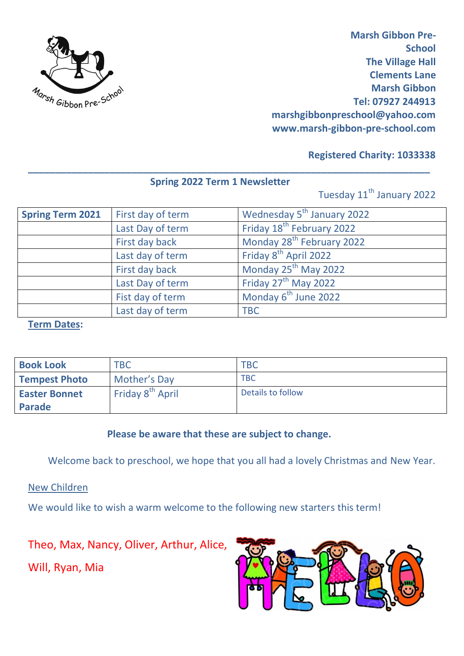

 **Marsh Gibbon Pre-School The Village Hall Clements Lane Marsh Gibbon Tel: 07927 244913 marshgibbonpreschool@yahoo.com www.marsh-gibbon-pre-school.com**

## **Registered Charity: 1033338**

# **Spring 2022 Term 1 Newsletter**

**\_\_\_\_\_\_\_\_\_\_\_\_\_\_\_\_\_\_\_\_\_\_\_\_\_\_\_\_\_\_\_\_\_\_\_\_\_\_\_\_\_\_\_\_\_\_\_\_\_\_\_\_\_\_\_\_\_\_\_\_\_\_\_\_\_\_\_\_\_\_\_\_\_\_**

Tuesday 11<sup>th</sup> January 2022

| <b>Spring Term 2021</b> | First day of term | Wednesday 5 <sup>th</sup> January 2022 |
|-------------------------|-------------------|----------------------------------------|
|                         | Last Day of term  | Friday 18 <sup>th</sup> February 2022  |
|                         | First day back    | Monday 28 <sup>th</sup> February 2022  |
|                         | Last day of term  | Friday 8 <sup>th</sup> April 2022      |
|                         | First day back    | Monday 25 <sup>th</sup> May 2022       |
|                         | Last Day of term  | Friday 27 <sup>th</sup> May 2022       |
|                         | Fist day of term  | Monday 6 <sup>th</sup> June 2022       |
|                         | Last day of term  | <b>TBC</b>                             |

#### **Term Dates:**

| <b>Book Look</b>     | <b>TBC</b>                   | <b>TBC</b>        |
|----------------------|------------------------------|-------------------|
| <b>Tempest Photo</b> | Mother's Day                 | <b>TBC</b>        |
| <b>Easter Bonnet</b> | Friday 8 <sup>th</sup> April | Details to follow |
| Parade               |                              |                   |

# **Please be aware that these are subject to change.**

Welcome back to preschool, we hope that you all had a lovely Christmas and New Year.

New Children

We would like to wish a warm welcome to the following new starters this term!

Theo, Max, Nancy, Oliver, Arthur, Alice,

Will, Ryan, Mia

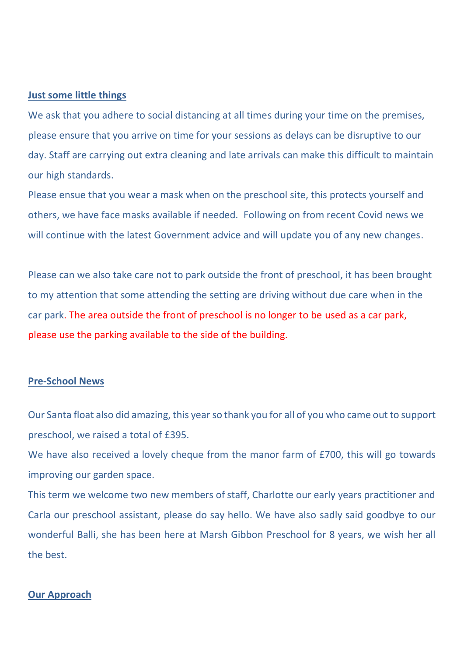#### **Just some little things**

We ask that you adhere to social distancing at all times during your time on the premises, please ensure that you arrive on time for your sessions as delays can be disruptive to our day. Staff are carrying out extra cleaning and late arrivals can make this difficult to maintain our high standards.

Please ensue that you wear a mask when on the preschool site, this protects yourself and others, we have face masks available if needed. Following on from recent Covid news we will continue with the latest Government advice and will update you of any new changes.

Please can we also take care not to park outside the front of preschool, it has been brought to my attention that some attending the setting are driving without due care when in the car park. The area outside the front of preschool is no longer to be used as a car park, please use the parking available to the side of the building.

#### **Pre-School News**

Our Santa float also did amazing, this yearso thank you for all of you who came out to support preschool, we raised a total of £395.

We have also received a lovely cheque from the manor farm of £700, this will go towards improving our garden space.

This term we welcome two new members of staff, Charlotte our early years practitioner and Carla our preschool assistant, please do say hello. We have also sadly said goodbye to our wonderful Balli, she has been here at Marsh Gibbon Preschool for 8 years, we wish her all the best.

#### **Our Approach**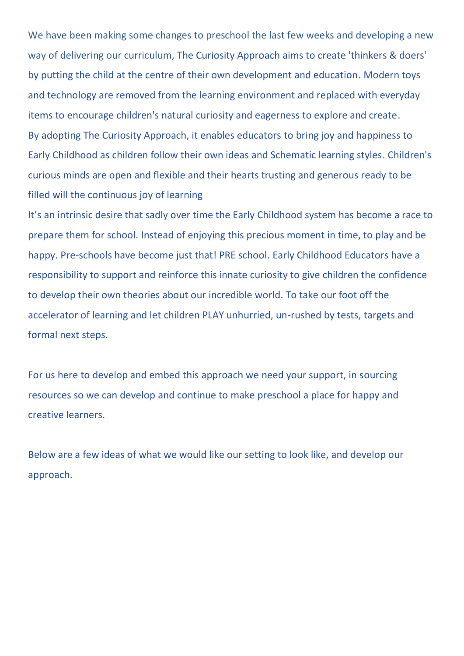We have been making some changes to preschool the last few weeks and developing a new way of delivering our curriculum, The Curiosity Approach aims to create 'thinkers & doers' by putting the child at the centre of their own development and education. Modern toys and technology are removed from the learning environment and replaced with everyday items to encourage children's natural curiosity and eagerness to explore and create. By adopting The Curiosity Approach, it enables educators to bring joy and happiness to Early Childhood as children follow their own ideas and Schematic learning styles. Children's curious minds are open and flexible and their hearts trusting and generous ready to be filled will the continuous joy of learning

It's an intrinsic desire that sadly over time the Early Childhood system has become a race to prepare them for school. Instead of enjoying this precious moment in time, to play and be happy. Pre-schools have become just that! PRE school. Early Childhood Educators have a responsibility to support and reinforce this innate curiosity to give children the confidence to develop their own theories about our incredible world. To take our foot off the accelerator of learning and let children PLAY unhurried, un-rushed by tests, targets and formal next steps.

For us here to develop and embed this approach we need your support, in sourcing resources so we can develop and continue to make preschool a place for happy and creative learners.

Below are a few ideas of what we would like our setting to look like, and develop our approach.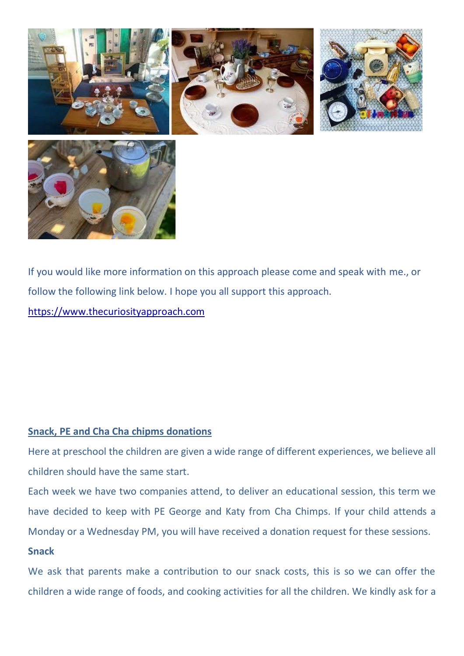



If you would like more information on this approach please come and speak with me., or follow the following link below. I hope you all support this approach. [https://www.thecuriosityapproach.com](https://www.thecuriosityapproach.com/)

### **Snack, PE and Cha Cha chipms donations**

Here at preschool the children are given a wide range of different experiences, we believe all children should have the same start.

Each week we have two companies attend, to deliver an educational session, this term we have decided to keep with PE George and Katy from Cha Chimps. If your child attends a Monday or a Wednesday PM, you will have received a donation request for these sessions. **Snack**

We ask that parents make a contribution to our snack costs, this is so we can offer the children a wide range of foods, and cooking activities for all the children. We kindly ask for a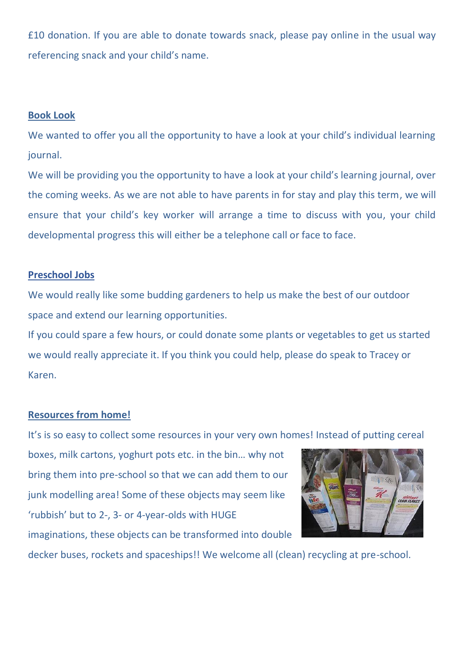£10 donation. If you are able to donate towards snack, please pay online in the usual way referencing snack and your child's name.

#### **Book Look**

We wanted to offer you all the opportunity to have a look at your child's individual learning journal.

We will be providing you the opportunity to have a look at your child's learning journal, over the coming weeks. As we are not able to have parents in for stay and play this term, we will ensure that your child's key worker will arrange a time to discuss with you, your child developmental progress this will either be a telephone call or face to face.

#### **Preschool Jobs**

We would really like some budding gardeners to help us make the best of our outdoor space and extend our learning opportunities.

If you could spare a few hours, or could donate some plants or vegetables to get us started we would really appreciate it. If you think you could help, please do speak to Tracey or Karen.

### **Resources from home!**

It's is so easy to collect some resources in your very own homes! Instead of putting cereal

boxes, milk cartons, yoghurt pots etc. in the bin… why not bring them into pre-school so that we can add them to our junk modelling area! Some of these objects may seem like 'rubbish' but to 2-, 3- or 4-year-olds with HUGE imaginations, these objects can be transformed into double



decker buses, rockets and spaceships!! We welcome all (clean) recycling at pre-school.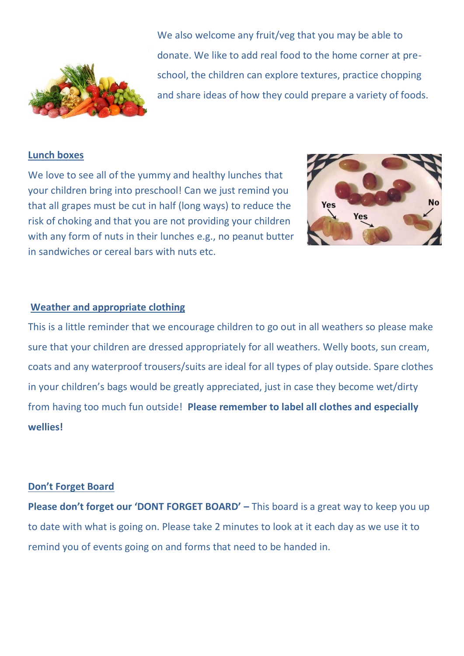

We also welcome any fruit/veg that you may be able to donate. We like to add real food to the home corner at preschool, the children can explore textures, practice chopping and share ideas of how they could prepare a variety of foods.

### **Lunch boxes**

We love to see all of the yummy and healthy lunches that your children bring into preschool! Can we just remind you that all grapes must be cut in half (long ways) to reduce the risk of choking and that you are not providing your children with any form of nuts in their lunches e.g., no peanut butter in sandwiches or cereal bars with nuts etc.



### **Weather and appropriate clothing**

This is a little reminder that we encourage children to go out in all weathers so please make sure that your children are dressed appropriately for all weathers. Welly boots, sun cream, coats and any waterproof trousers/suits are ideal for all types of play outside. Spare clothes in your children's bags would be greatly appreciated, just in case they become wet/dirty from having too much fun outside! **Please remember to label all clothes and especially wellies!**

#### **Don't Forget Board**

**Please don't forget our 'DONT FORGET BOARD' –** This board is a great way to keep you up to date with what is going on. Please take 2 minutes to look at it each day as we use it to remind you of events going on and forms that need to be handed in.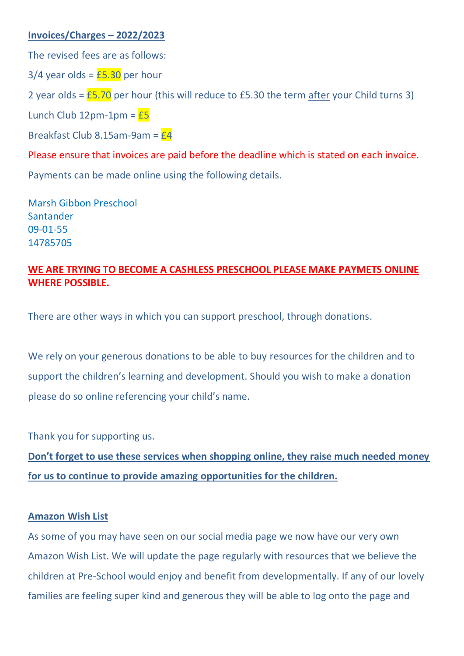## **Invoices/Charges – 2022/2023**

The revised fees are as follows:

 $3/4$  year olds =  $£5.30$  per hour

2 year olds =  $E$ 5.70 per hour (this will reduce to £5.30 the term after your Child turns 3)

Lunch Club  $12$ pm-1pm =  $E5$ 

Breakfast Club 8.15am-9am =  $E4$ 

Please ensure that invoices are paid before the deadline which is stated on each invoice.

Payments can be made online using the following details.

Marsh Gibbon Preschool **Santander** 09-01-55 14785705

# **WE ARE TRYING TO BECOME A CASHLESS PRESCHOOL PLEASE MAKE PAYMETS ONLINE WHERE POSSIBLE.**

There are other ways in which you can support preschool, through donations.

We rely on your generous donations to be able to buy resources for the children and to support the children's learning and development. Should you wish to make a donation please do so online referencing your child's name.

Thank you for supporting us.

**Don't forget to use these services when shopping online, they raise much needed money for us to continue to provide amazing opportunities for the children.**

## **Amazon Wish List**

As some of you may have seen on our social media page we now have our very own Amazon Wish List. We will update the page regularly with resources that we believe the children at Pre-School would enjoy and benefit from developmentally. If any of our lovely families are feeling super kind and generous they will be able to log onto the page and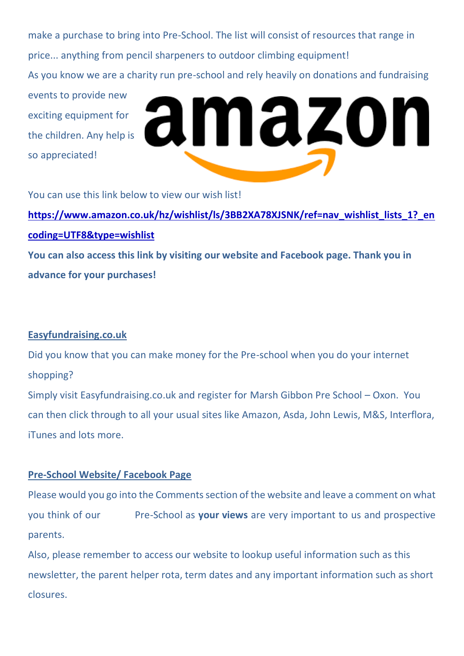make a purchase to bring into Pre-School. The list will consist of resources that range in price... anything from pencil sharpeners to outdoor climbing equipment! As you know we are a charity run pre-school and rely heavily on donations and fundraising events to provide new amazon exciting equipment for the children. Any help is so appreciated!

You can use this link below to view our wish list!

**[https://www.amazon.co.uk/hz/wishlist/ls/3BB2XA78XJSNK/ref=nav\\_wishlist\\_lists\\_1?\\_en](https://www.amazon.co.uk/hz/wishlist/ls/3BB2XA78XJSNK/ref=nav_wishlist_lists_1?_encoding=UTF8&type=wishlist) [coding=UTF8&type=wishlist](https://www.amazon.co.uk/hz/wishlist/ls/3BB2XA78XJSNK/ref=nav_wishlist_lists_1?_encoding=UTF8&type=wishlist) You can also access this link by visiting our website and Facebook page. Thank you in advance for your purchases!** 

## **Easyfundraising.co.uk**

Did you know that you can make money for the Pre-school when you do your internet shopping? Simply visit Easyfundraising.co.uk and register for Marsh Gibbon Pre School – Oxon. You can then click through to all your usual sites like Amazon, Asda, John Lewis, M&S, Interflora, iTunes and lots more.

# **Pre-School Website/ Facebook Page**

Please would you go into the Comments section of the website and leave a comment on what you think of our Pre-School as **your views** are very important to us and prospective parents.

Also, please remember to access our website to lookup useful information such as this newsletter, the parent helper rota, term dates and any important information such as short closures.